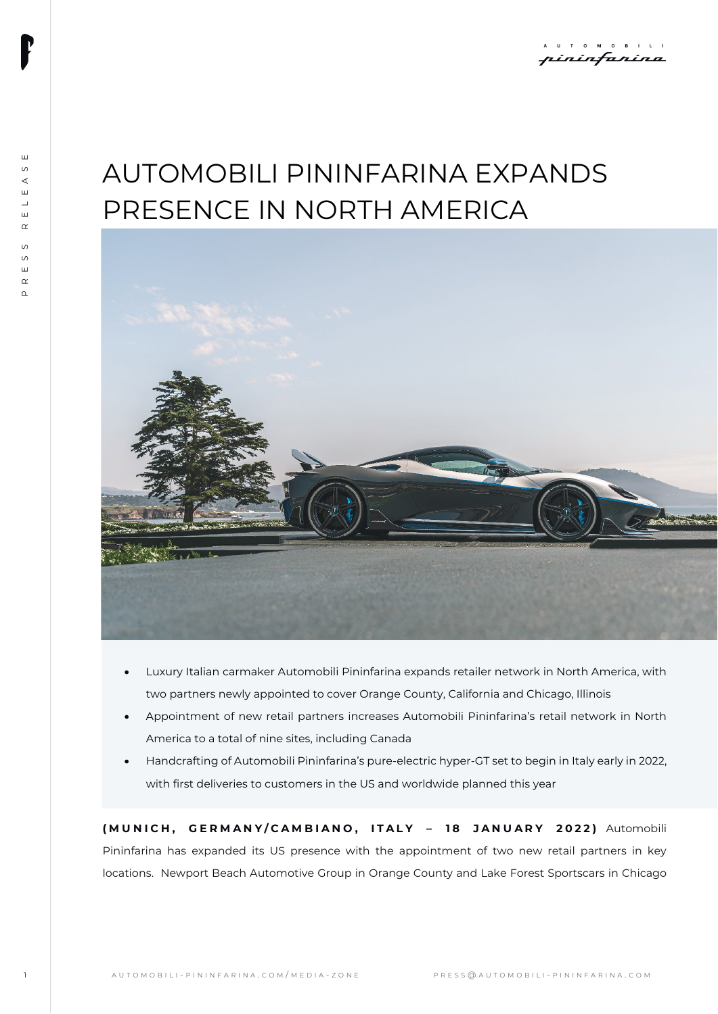# AUTOMOBILI PININFARINA EXPANDS PRESENCE IN NORTH AMERICA



- Luxury Italian carmaker Automobili Pininfarina expands retailer network in North America, with two partners newly appointed to cover Orange County, California and Chicago, Illinois
- Appointment of new retail partners increases Automobili Pininfarina's retail network in North America to a total of nine sites, including Canada
- Handcrafting of Automobili Pininfarina's pure-electric hyper-GT set to begin in Italy early in 2022, with first deliveries to customers in the US and worldwide planned this year

**( MUNICH, GERMANY/ CAMBIANO , ITALY – 1 8 JANUARY 202 2 )** Automobili Pininfarina has expanded its US presence with the appointment of two new retail partners in key locations. Newport Beach Automotive Group in Orange County and Lake Forest Sportscars in Chicago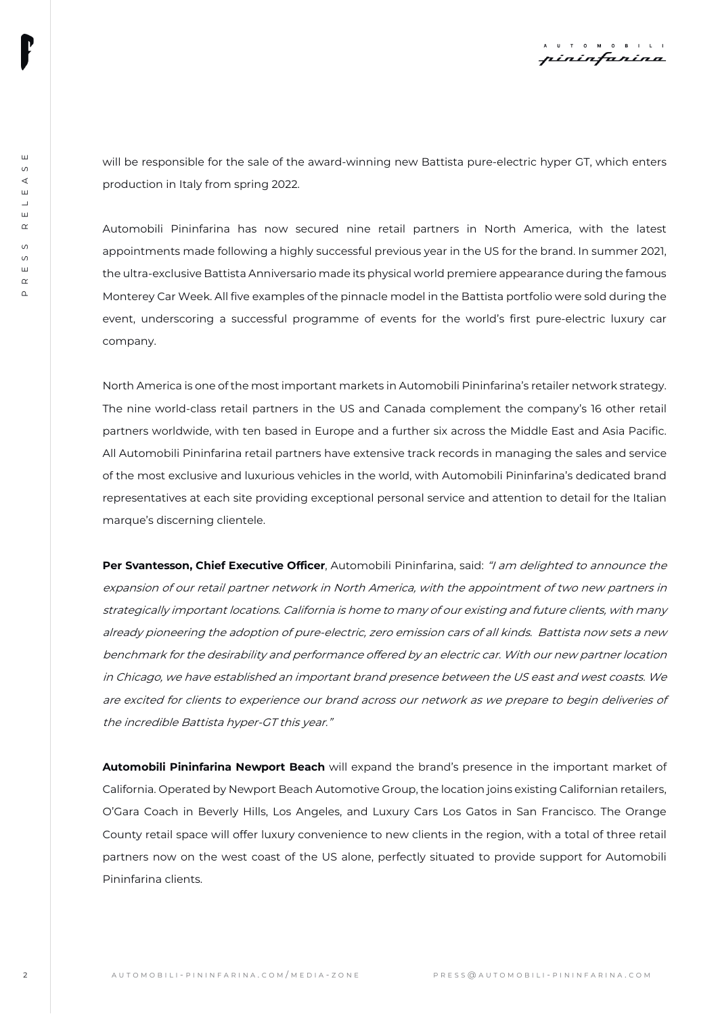will be responsible for the sale of the award-winning new Battista pure-electric hyper GT, which enters production in Italy from spring 2022.

Automobili Pininfarina has now secured nine retail partners in North America, with the latest appointments made following a highly successful previous year in the US for the brand. In summer 2021, the ultra-exclusive Battista Anniversario made its physical world premiere appearance during the famous Monterey Car Week. All five examples of the pinnacle model in the Battista portfolio were sold during the event, underscoring a successful programme of events for the world's first pure-electric luxury car company.

North America is one of the most important markets in Automobili Pininfarina's retailer network strategy. The nine world-class retail partners in the US and Canada complement the company's 16 other retail partners worldwide, with ten based in Europe and a further six across the Middle East and Asia Pacific. All Automobili Pininfarina retail partners have extensive track records in managing the sales and service of the most exclusive and luxurious vehicles in the world, with Automobili Pininfarina's dedicated brand representatives at each site providing exceptional personal service and attention to detail for the Italian marque's discerning clientele.

22 AUTOR Repressions the first of the computation of the animal state is the computer of the animal state of the animal state of the animal state of the animal state of the animal state of the animal state of the animal s Per Svantesson, Chief Executive Officer, Automobili Pininfarina, said: "I am delighted to announce the expansion of our retail partner network in North America, with the appointment of two new partners in strategically important locations. California is home to many of our existing and future clients, with many already pioneering the adoption of pure-electric, zero emission cars of all kinds. Battista now sets a new benchmark for the desirability and performance offered by an electric car. With our new partner location in Chicago, we have established an important brand presence between the US east and west coasts. We are excited for clients to experience our brand across our network as we prepare to begin deliveries of the incredible Battista hyper-GT this year."

**Automobili Pininfarina Newport Beach** will expand the brand's presence in the important market of California. Operated by Newport Beach Automotive Group, the location joins existing Californian retailers, O'Gara Coach in Beverly Hills, Los Angeles, and Luxury Cars Los Gatos in San Francisco. The Orange County retail space will offer luxury convenience to new clients in the region, with a total of three retail partners now on the west coast of the US alone, perfectly situated to provide support for Automobili Pininfarina clients.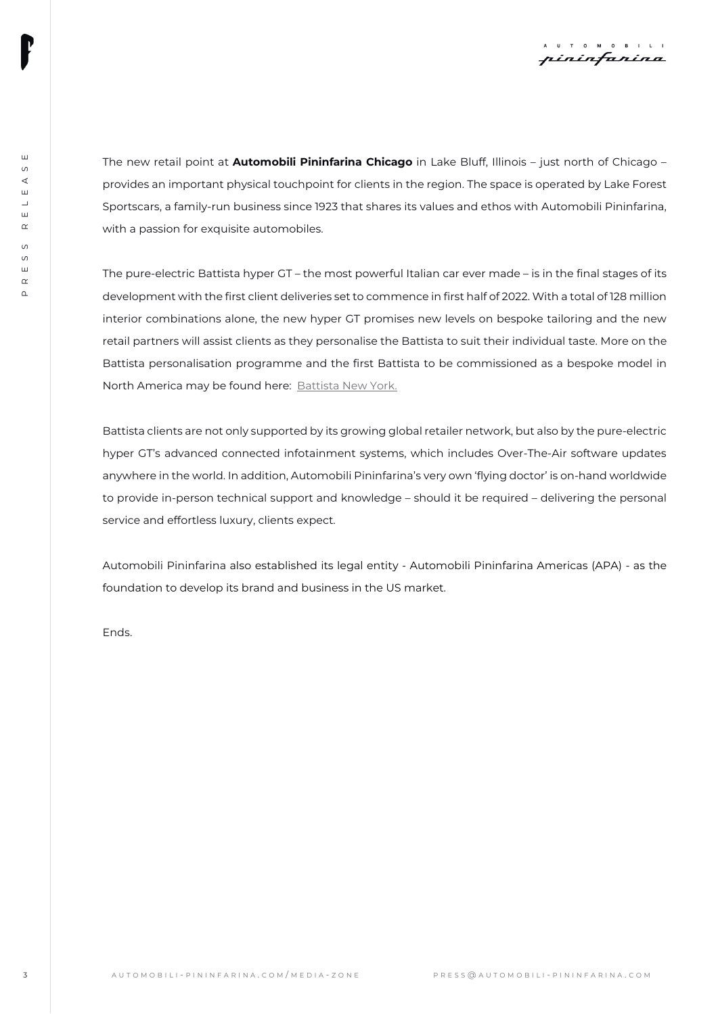

The new retail point at **Automobili Pininfarina Chicago** in Lake Bluff, Illinois – just north of Chicago – provides an important physical touchpoint for clients in the region. The space is operated by Lake Forest Sportscars, a family-run business since 1923 that shares its values and ethos with Automobili Pininfarina, with a passion for exquisite automobiles.

The may what point of AUTOMOBILI Plainfinal in Plainparties The paper is a Butch and the Christmas . For the Christmas . Computer of the computer of the computer of the computer of the computer of the computer of the comp The pure-electric Battista hyper GT – the most powerful Italian car ever made – is in the final stages of its development with the first client deliveries set to commence in first half of 2022. With a total of 128 million interior combinations alone, the new hyper GT promises new levels on bespoke tailoring and the new retail partners will assist clients as they personalise the Battista to suit their individual taste. More on the Battista personalisation programme and the first Battista to be commissioned as a bespoke model in North America may be found here: **Battista New York.** 

Battista clients are not only supported by its growing global retailer network, but also by the pure-electric hyper GT's advanced connected infotainment systems, which includes Over-The-Air software updates anywhere in the world. In addition, Automobili Pininfarina's very own 'flying doctor' is on-hand worldwide to provide in-person technical support and knowledge – should it be required – delivering the personal service and effortless luxury, clients expect.

Automobili Pininfarina also established its legal entity - Automobili Pininfarina Americas (APA) - as the foundation to develop its brand and business in the US market.

Ends.